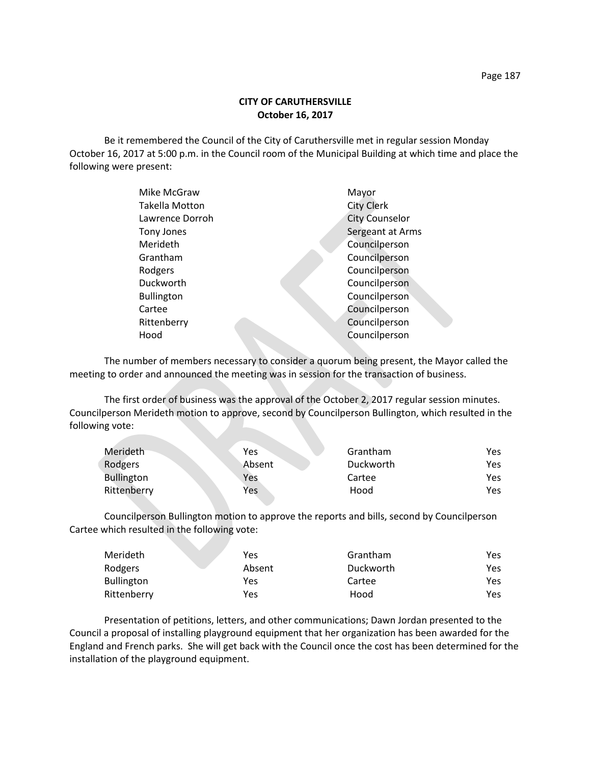## **CITY OF CARUTHERSVILLE October 16, 2017**

Be it remembered the Council of the City of Caruthersville met in regular session Monday October 16, 2017 at 5:00 p.m. in the Council room of the Municipal Building at which time and place the following were present:

| Mike McGraw           | Mayor                 |
|-----------------------|-----------------------|
| <b>Takella Motton</b> | <b>City Clerk</b>     |
| Lawrence Dorroh       | <b>City Counselor</b> |
| Tony Jones            | Sergeant at Arms      |
| Merideth              | Councilperson         |
| Grantham              | Councilperson         |
| Rodgers               | Councilperson         |
| Duckworth             | Councilperson         |
| <b>Bullington</b>     | Councilperson         |
| Cartee                | Councilperson         |
| Rittenberry           | Councilperson         |
| Hood                  | Councilperson         |
|                       |                       |

The number of members necessary to consider a quorum being present, the Mayor called the meeting to order and announced the meeting was in session for the transaction of business.

The first order of business was the approval of the October 2, 2017 regular session minutes. Councilperson Merideth motion to approve, second by Councilperson Bullington, which resulted in the following vote:

**Contract Contract** 

| Merideth          | Yes    | Grantham  | Yes  |
|-------------------|--------|-----------|------|
| Rodgers           | Absent | Duckworth | Yes  |
| <b>Bullington</b> | Yes    | Cartee    | Yes  |
| Rittenberry       | Yes    | Hood      | Yes. |

Councilperson Bullington motion to approve the reports and bills, second by Councilperson Cartee which resulted in the following vote:

| Merideth    | Yes    | Grantham  | Yes |
|-------------|--------|-----------|-----|
| Rodgers     | Absent | Duckworth | Yes |
| Bullington  | Yes    | Cartee    | Yes |
| Rittenberry | Yes    | Hood      | Yes |

Presentation of petitions, letters, and other communications; Dawn Jordan presented to the Council a proposal of installing playground equipment that her organization has been awarded for the England and French parks. She will get back with the Council once the cost has been determined for the installation of the playground equipment.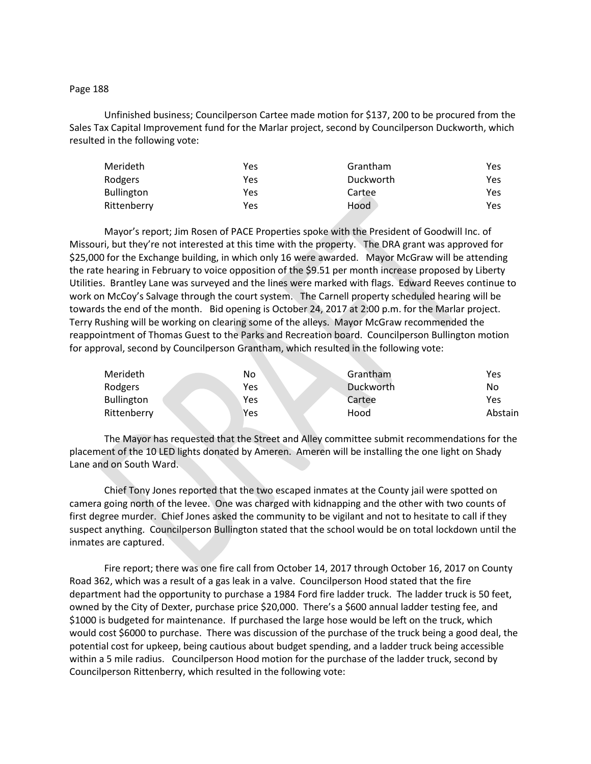## Page 188

Unfinished business; Councilperson Cartee made motion for \$137, 200 to be procured from the Sales Tax Capital Improvement fund for the Marlar project, second by Councilperson Duckworth, which resulted in the following vote:

| Merideth          | Yes | Grantham  | Yes  |
|-------------------|-----|-----------|------|
| Rodgers           | Yes | Duckworth | Yes. |
| <b>Bullington</b> | Yes | Cartee    | Yes. |
| Rittenberry       | Yes | Hood      | Yes. |

Mayor's report; Jim Rosen of PACE Properties spoke with the President of Goodwill Inc. of Missouri, but they're not interested at this time with the property. The DRA grant was approved for \$25,000 for the Exchange building, in which only 16 were awarded. Mayor McGraw will be attending the rate hearing in February to voice opposition of the \$9.51 per month increase proposed by Liberty Utilities. Brantley Lane was surveyed and the lines were marked with flags. Edward Reeves continue to work on McCoy's Salvage through the court system. The Carnell property scheduled hearing will be towards the end of the month. Bid opening is October 24, 2017 at 2:00 p.m. for the Marlar project. Terry Rushing will be working on clearing some of the alleys. Mayor McGraw recommended the reappointment of Thomas Guest to the Parks and Recreation board. Councilperson Bullington motion for approval, second by Councilperson Grantham, which resulted in the following vote:

| Merideth    | No  | Grantham  | Yes     |
|-------------|-----|-----------|---------|
| Rodgers     | Yes | Duckworth | No      |
| Bullington  | Yes | Cartee    | Yes     |
| Rittenberry | Yes | Hood      | Abstain |

The Mayor has requested that the Street and Alley committee submit recommendations for the placement of the 10 LED lights donated by Ameren. Ameren will be installing the one light on Shady Lane and on South Ward.

Chief Tony Jones reported that the two escaped inmates at the County jail were spotted on camera going north of the levee. One was charged with kidnapping and the other with two counts of first degree murder. Chief Jones asked the community to be vigilant and not to hesitate to call if they suspect anything. Councilperson Bullington stated that the school would be on total lockdown until the inmates are captured.

Fire report; there was one fire call from October 14, 2017 through October 16, 2017 on County Road 362, which was a result of a gas leak in a valve. Councilperson Hood stated that the fire department had the opportunity to purchase a 1984 Ford fire ladder truck. The ladder truck is 50 feet, owned by the City of Dexter, purchase price \$20,000. There's a \$600 annual ladder testing fee, and \$1000 is budgeted for maintenance. If purchased the large hose would be left on the truck, which would cost \$6000 to purchase. There was discussion of the purchase of the truck being a good deal, the potential cost for upkeep, being cautious about budget spending, and a ladder truck being accessible within a 5 mile radius. Councilperson Hood motion for the purchase of the ladder truck, second by Councilperson Rittenberry, which resulted in the following vote: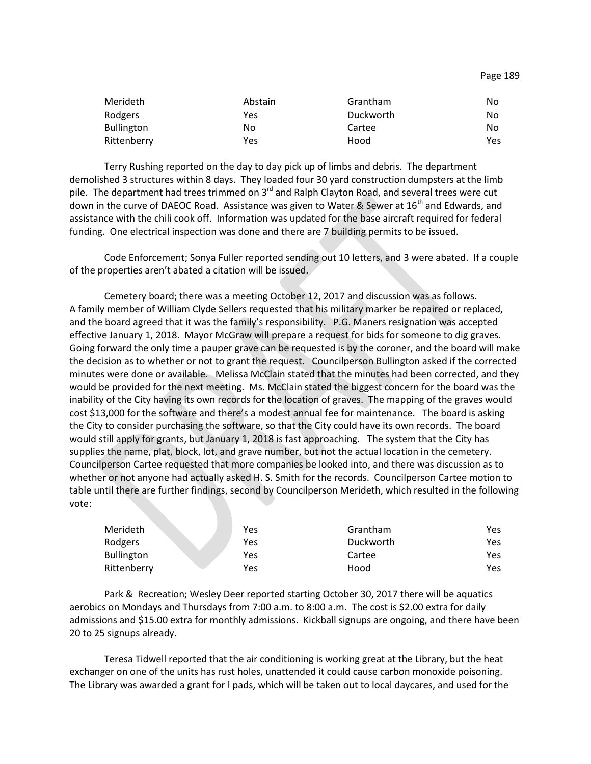| Merideth          | Abstain | Grantham  | No   |
|-------------------|---------|-----------|------|
| Rodgers           | Yes     | Duckworth | No   |
| <b>Bullington</b> | No      | Cartee    | No   |
| Rittenberry       | Yes     | Hood      | Yes. |

Terry Rushing reported on the day to day pick up of limbs and debris. The department demolished 3 structures within 8 days. They loaded four 30 yard construction dumpsters at the limb pile. The department had trees trimmed on  $3<sup>rd</sup>$  and Ralph Clayton Road, and several trees were cut down in the curve of DAEOC Road. Assistance was given to Water & Sewer at 16<sup>th</sup> and Edwards, and assistance with the chili cook off. Information was updated for the base aircraft required for federal funding. One electrical inspection was done and there are 7 building permits to be issued.

Code Enforcement; Sonya Fuller reported sending out 10 letters, and 3 were abated. If a couple of the properties aren't abated a citation will be issued.

Cemetery board; there was a meeting October 12, 2017 and discussion was as follows. A family member of William Clyde Sellers requested that his military marker be repaired or replaced, and the board agreed that it was the family's responsibility. P.G. Maners resignation was accepted effective January 1, 2018. Mayor McGraw will prepare a request for bids for someone to dig graves. Going forward the only time a pauper grave can be requested is by the coroner, and the board will make the decision as to whether or not to grant the request. Councilperson Bullington asked if the corrected minutes were done or available. Melissa McClain stated that the minutes had been corrected, and they would be provided for the next meeting. Ms. McClain stated the biggest concern for the board was the inability of the City having its own records for the location of graves. The mapping of the graves would cost \$13,000 for the software and there's a modest annual fee for maintenance. The board is asking the City to consider purchasing the software, so that the City could have its own records. The board would still apply for grants, but January 1, 2018 is fast approaching. The system that the City has supplies the name, plat, block, lot, and grave number, but not the actual location in the cemetery. Councilperson Cartee requested that more companies be looked into, and there was discussion as to whether or not anyone had actually asked H. S. Smith for the records. Councilperson Cartee motion to table until there are further findings, second by Councilperson Merideth, which resulted in the following vote:

| Merideth          | Yes | Grantham  | Yes |
|-------------------|-----|-----------|-----|
| Rodgers           | Yes | Duckworth | Yes |
| <b>Bullington</b> | Yes | Cartee    | Yes |
| Rittenberry       | Yes | Hood      | Yes |

Park & Recreation; Wesley Deer reported starting October 30, 2017 there will be aquatics aerobics on Mondays and Thursdays from 7:00 a.m. to 8:00 a.m. The cost is \$2.00 extra for daily admissions and \$15.00 extra for monthly admissions. Kickball signups are ongoing, and there have been 20 to 25 signups already.

Teresa Tidwell reported that the air conditioning is working great at the Library, but the heat exchanger on one of the units has rust holes, unattended it could cause carbon monoxide poisoning. The Library was awarded a grant for I pads, which will be taken out to local daycares, and used for the